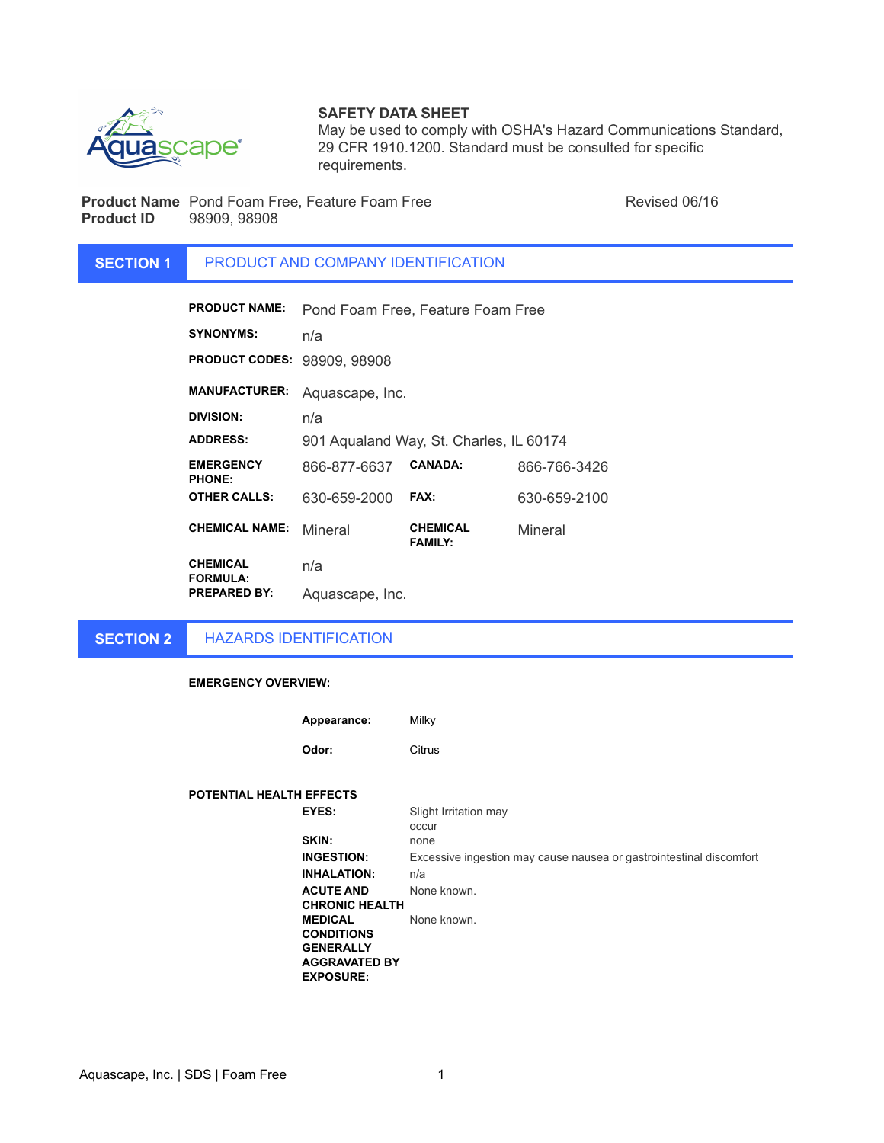

## **SAFETY DATA SHEET**

May be used to comply with OSHA's Hazard Communications Standard, 29 CFR 1910.1200. Standard must be consulted for specific requirements.

**Product Name** Pond Foam Free, Feature Foam Free Revised 06/16 **Product ID** 98909, 98908

### **SECTION 1** PRODUCT AND COMPANY IDENTIFICATION

| <b>PRODUCT NAME:</b>              | Pond Foam Free, Feature Foam Free       |                                   |              |
|-----------------------------------|-----------------------------------------|-----------------------------------|--------------|
| <b>SYNONYMS:</b>                  | n/a                                     |                                   |              |
| <b>PRODUCT CODES:</b>             | 98909, 98908                            |                                   |              |
| <b>MANUFACTURER:</b>              | Aquascape, Inc.                         |                                   |              |
| DIVISION:                         | n/a                                     |                                   |              |
| <b>ADDRESS:</b>                   | 901 Aqualand Way, St. Charles, IL 60174 |                                   |              |
| <b>EMERGENCY</b><br><b>PHONE:</b> | 866-877-6637                            | <b>CANADA:</b>                    | 866-766-3426 |
| <b>OTHER CALLS:</b>               | 630-659-2000                            | <b>FAX:</b>                       | 630-659-2100 |
| <b>CHEMICAL NAME:</b>             | Mineral                                 | <b>CHEMICAL</b><br><b>FAMILY:</b> | Mineral      |
| CHEMICAL<br><b>FORMULA:</b>       | n/a                                     |                                   |              |
| <b>PREPARED BY:</b>               | Aquascape, Inc.                         |                                   |              |

**SECTION 2**

HAZARDS IDENTIFICATION

**EMERGENCY OVERVIEW:**

| Appearance: | Milky  |
|-------------|--------|
| Odor:       | Citrus |

# **POTENTIAL HEALTH EFFECTS**

| <b>EYES:</b>          | Slight Irritation may                                               |
|-----------------------|---------------------------------------------------------------------|
|                       | occur                                                               |
| SKIN:                 | none                                                                |
| <b>INGESTION:</b>     | Excessive ingestion may cause nausea or gastrointestinal discomfort |
| <b>INHALATION:</b>    | n/a                                                                 |
| <b>ACUTE AND</b>      | None known.                                                         |
| <b>CHRONIC HEALTH</b> |                                                                     |
| MEDICAL               | None known.                                                         |
| <b>CONDITIONS</b>     |                                                                     |
| <b>GENERALLY</b>      |                                                                     |
| AGGRAVATED BY         |                                                                     |
| <b>EXPOSURE:</b>      |                                                                     |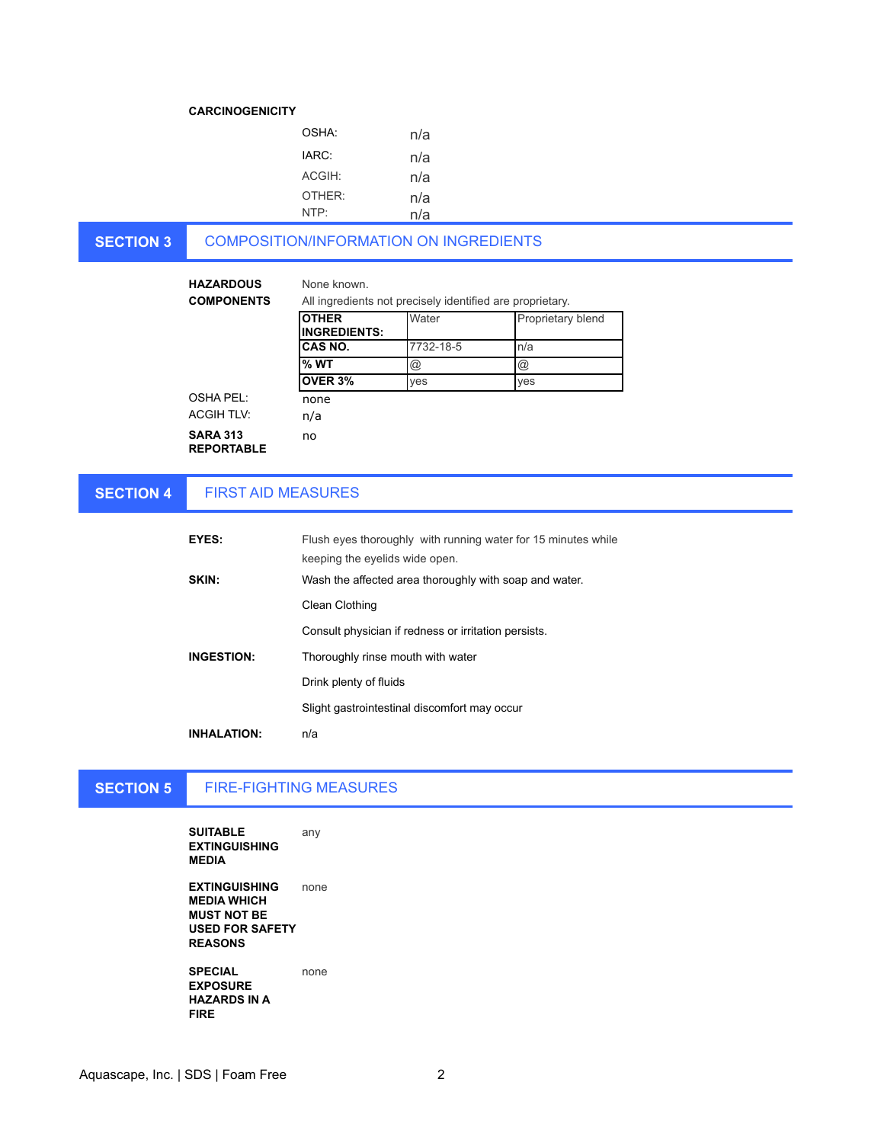### **CARCINOGENICITY**

| OSHA <sup>.</sup>  | n/a |
|--------------------|-----|
| IARC:              | n/a |
| ACGIH:             | n/a |
| OTHER <sup>.</sup> | n/a |
| NTP <sup>.</sup>   | n/a |

### **SECTION 3** COMPOSITION/INFORMATION ON INGREDIENTS

| <b>HAZARDOUS</b><br><b>COMPONENTS</b> | None known<br>All ingredients not precisely identified are proprietary. |                 |                      |
|---------------------------------------|-------------------------------------------------------------------------|-----------------|----------------------|
|                                       | <b>OTHER</b><br><b>INGREDIENTS:</b>                                     | Water           | Proprietary blend    |
|                                       | CAS NO.                                                                 | 7732-18-5       | n/a                  |
|                                       | $%$ WT                                                                  | $^{\copyright}$ | $^{\textregistered}$ |
|                                       | OVER 3%                                                                 | yes             | yes                  |
| OSHA PEL:                             | none                                                                    |                 |                      |
| <b>ACGIH TLV:</b>                     | n/a                                                                     |                 |                      |
| <b>SARA 313</b><br><b>REPORTABLE</b>  | no                                                                      |                 |                      |

### **SECTION 4** FIRST AID MEASURES

| EYES:              | Flush eyes thoroughly with running water for 15 minutes while<br>keeping the eyelids wide open. |
|--------------------|-------------------------------------------------------------------------------------------------|
| SKIN:              | Wash the affected area thoroughly with soap and water.                                          |
|                    | Clean Clothing                                                                                  |
|                    | Consult physician if redness or irritation persists.                                            |
| <b>INGESTION:</b>  | Thoroughly rinse mouth with water                                                               |
|                    | Drink plenty of fluids                                                                          |
|                    | Slight gastrointestinal discomfort may occur                                                    |
| <b>INHALATION:</b> | n/a                                                                                             |

# **SECTION 5**

# FIRE-FIGHTING MEASURES

**SUITABLE EXTINGUISHING MEDIA** any

**EXTINGUISHING MEDIA WHICH MUST NOT BE USED FOR SAFETY REASONS** none

**SPECIAL EXPOSURE HAZARDS IN A FIRE** none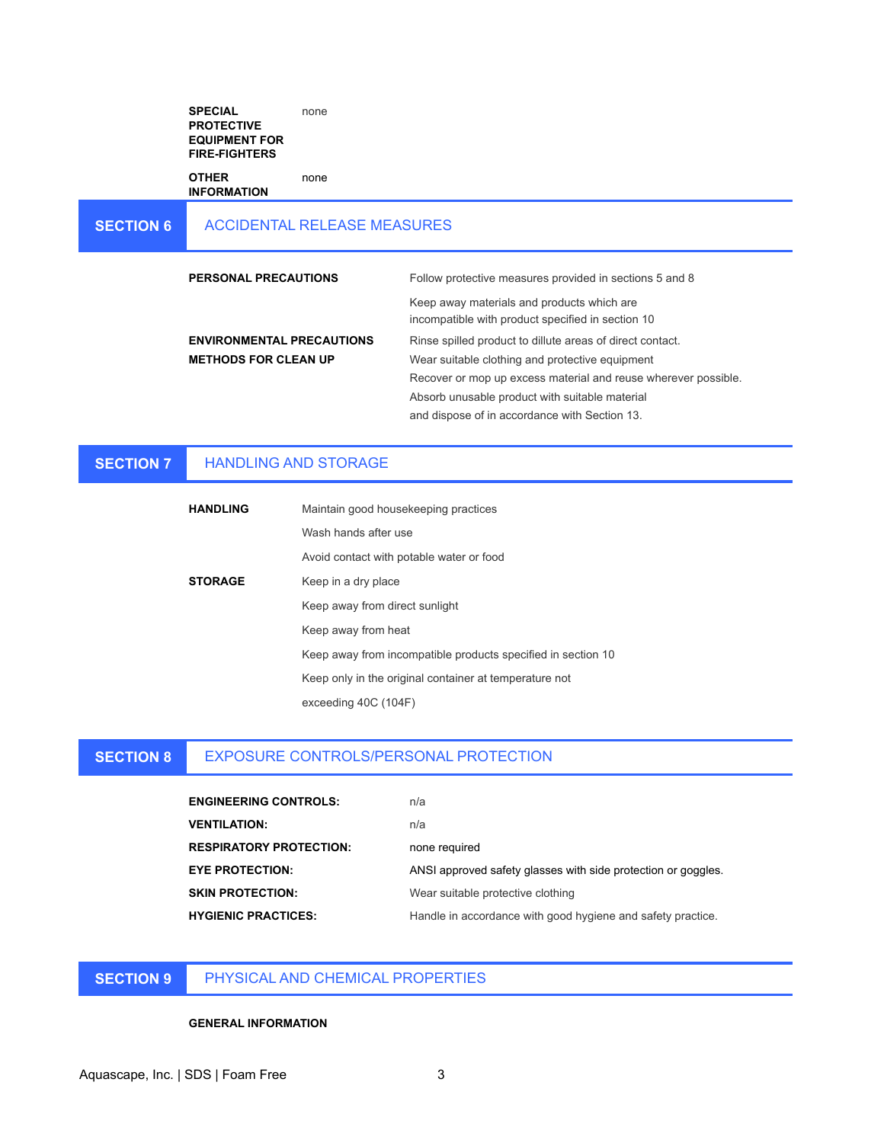**SPECIAL PROTECTIVE EQUIPMENT FOR FIRE-FIGHTERS** none

**OTHER INFORMATION**

### **SECTION 6** ACCIDENTAL RELEASE MEASURES

none

**PERSONAL PRECAUTIONS** Follow protective measures provided in sections 5 and 8 Keep away materials and products which are incompatible with product specified in section 10 **ENVIRONMENTAL PRECAUTIONS** Rinse spilled product to dillute areas of direct contact. **METHODS FOR CLEAN UP** Wear suitable clothing and protective equipment Recover or mop up excess material and reuse wherever possible. Absorb unusable product with suitable material and dispose of in accordance with Section 13.

### **SECTION 7** HANDLING AND STORAGE

| <b>HANDLING</b> | Maintain good housekeeping practices                         |
|-----------------|--------------------------------------------------------------|
|                 | Wash hands after use                                         |
|                 | Avoid contact with potable water or food                     |
| <b>STORAGE</b>  | Keep in a dry place                                          |
|                 | Keep away from direct sunlight                               |
|                 | Keep away from heat                                          |
|                 | Keep away from incompatible products specified in section 10 |
|                 | Keep only in the original container at temperature not       |
|                 | exceeding 40C (104F)                                         |

#### **SECTION 8** EXPOSURE CONTROLS/PERSONAL PROTECTION

| <b>ENGINEERING CONTROLS:</b>   | n/a                                                           |
|--------------------------------|---------------------------------------------------------------|
| <b>VENTILATION:</b>            | n/a                                                           |
| <b>RESPIRATORY PROTECTION:</b> | none required                                                 |
| <b>EYE PROTECTION:</b>         | ANSI approved safety glasses with side protection or goggles. |
| <b>SKIN PROTECTION:</b>        | Wear suitable protective clothing                             |
| <b>HYGIENIC PRACTICES:</b>     | Handle in accordance with good hygiene and safety practice.   |

# **SECTION 9**

PHYSICAL AND CHEMICAL PROPERTIES

### **GENERAL INFORMATION**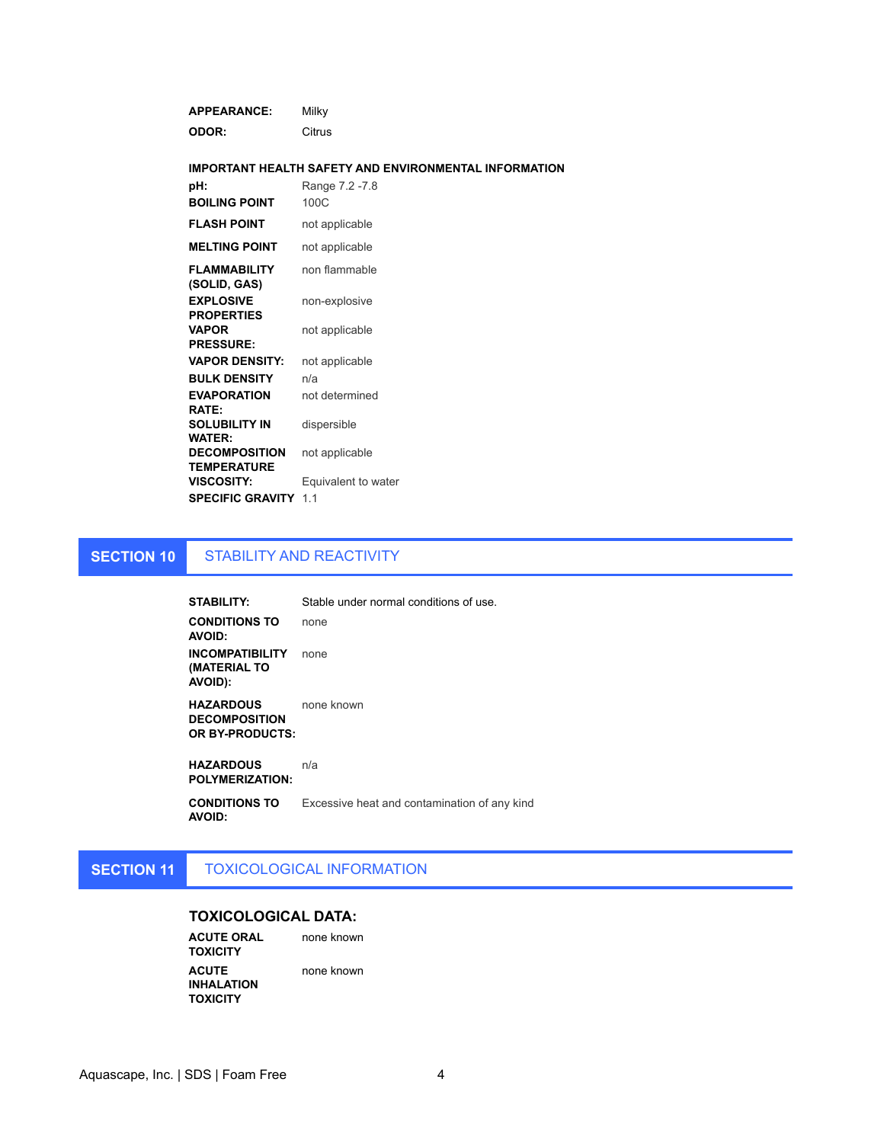| <b>APPEARANCE:</b>                         | Milky                                                        |
|--------------------------------------------|--------------------------------------------------------------|
| ODOR:                                      | Citrus                                                       |
|                                            |                                                              |
|                                            | <b>IMPORTANT HEALTH SAFETY AND ENVIRONMENTAL INFORMATION</b> |
| pH:                                        | Range 7.2 -7.8                                               |
| <b>BOILING POINT</b>                       | 100C                                                         |
| <b>FLASH POINT</b>                         | not applicable                                               |
| <b>MELTING POINT</b>                       | not applicable                                               |
| <b>FLAMMABILITY</b><br>(SOLID, GAS)        | non flammable                                                |
| <b>EXPLOSIVE</b><br><b>PROPERTIES</b>      | non-explosive                                                |
| <b>VAPOR</b><br><b>PRESSURE:</b>           | not applicable                                               |
| <b>VAPOR DENSITY:</b>                      | not applicable                                               |
| <b>BULK DENSITY</b>                        | n/a                                                          |
| <b>EVAPORATION</b><br><b>RATE:</b>         | not determined                                               |
| <b>SOLUBILITY IN</b><br><b>WATER:</b>      | dispersible                                                  |
| <b>DECOMPOSITION</b><br><b>TEMPERATURE</b> | not applicable                                               |
| <b>VISCOSITY:</b>                          | Equivalent to water                                          |
| <b>SPECIFIC GRAVITY</b>                    | 1.1                                                          |

### **SECTION 10** STABILITY AND REACTIVITY

**STABILITY:** Stable under normal conditions of use. **CONDITIONS TO AVOID:** none **INCOMPATIBILITY**  none **(MATERIAL TO AVOID): HAZARDOUS**  none known

**DECOMPOSITION OR BY-PRODUCTS:**

**HAZARDOUS POLYMERIZATION:** n/a

**CONDITIONS TO AVOID:** Excessive heat and contamination of any kind

### **SECTION 11** TOXICOLOGICAL INFORMATION

# **TOXICOLOGICAL DATA:**

**ACUTE ORAL TOXICITY** none known **ACUTE INHALATION TOXICITY** none known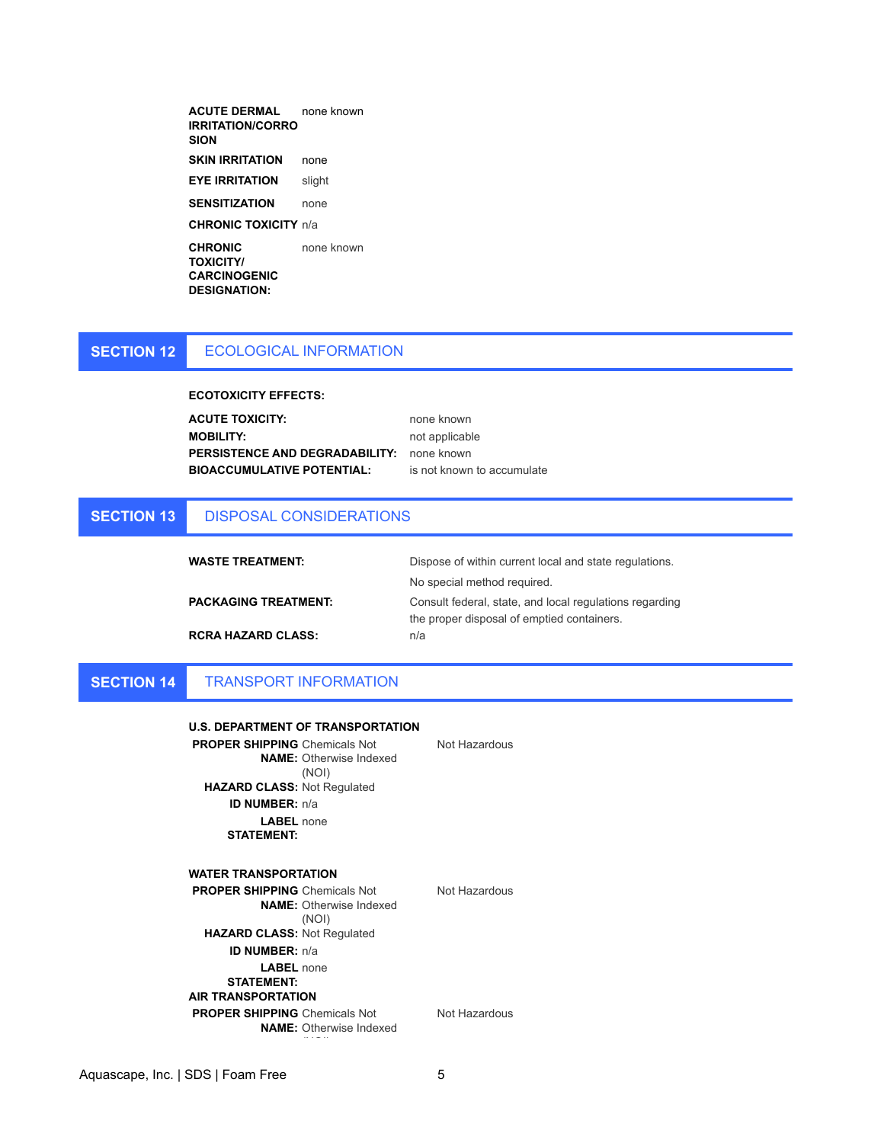| <b>ACUTE DERMAL</b><br>IRRITATION/CORRO<br>SION | none known |
|-------------------------------------------------|------------|
| <b>SKIN IRRITATION</b>                          | none       |
| <b>EYE IRRITATION</b>                           | slight     |
| <b>SENSITIZATION</b>                            | none       |
| <b>CHRONIC TOXICITY n/a</b>                     |            |
| <b>CHRONIC</b>                                  | none known |
| <b>TOXICITY/</b>                                |            |

**CARCINOGENIC DESIGNATION:**

### **SECTION 12** ECOLOGICAL INFORMATION

**ECOTOXICITY EFFECTS:**

**ACUTE TOXICITY:** none known **MOBILITY:** not applicable PERSISTENCE AND DEGRADABILITY: none known **BIOACCUMULATIVE POTENTIAL:** is not known to accumulate

### **SECTION 13** DISPOSAL CONSIDERATIONS

| <b>WASTE TREATMENT:</b>     | Dispose of within current local and state regulations.  |
|-----------------------------|---------------------------------------------------------|
|                             | No special method required.                             |
| <b>PACKAGING TREATMENT:</b> | Consult federal, state, and local regulations regarding |
|                             | the proper disposal of emptied containers.              |
| <b>RCRA HAZARD CLASS:</b>   | n/a                                                     |

#### **SECTION 14** TRANSPORT INFORMATION

### **U.S. DEPARTMENT OF TRANSPORTATION**

**PROPER SHIPPING**  Chemicals Not **NAME:**  Otherwise Indexed (NOI) **HAZARD CLASS:** Not Regulated **ID NUMBER:** n/a **LABEL**  none **STATEMENT:**

**WATER TRANSPORTATION**

Not Hazardous

Not Hazardous

**NAME:**  Otherwise Indexed (NOI) **HAZARD CLASS:** Not Regulated **ID NUMBER:** n/a

**PROPER SHIPPING**  Chemicals Not

**LABEL**  none **STATEMENT: AIR TRANSPORTATION PROPER SHIPPING**  Chemicals Not

 $\mathcal{N}(\mathcal{N})$ 

Not Hazardous

**NAME:**  Otherwise Indexed